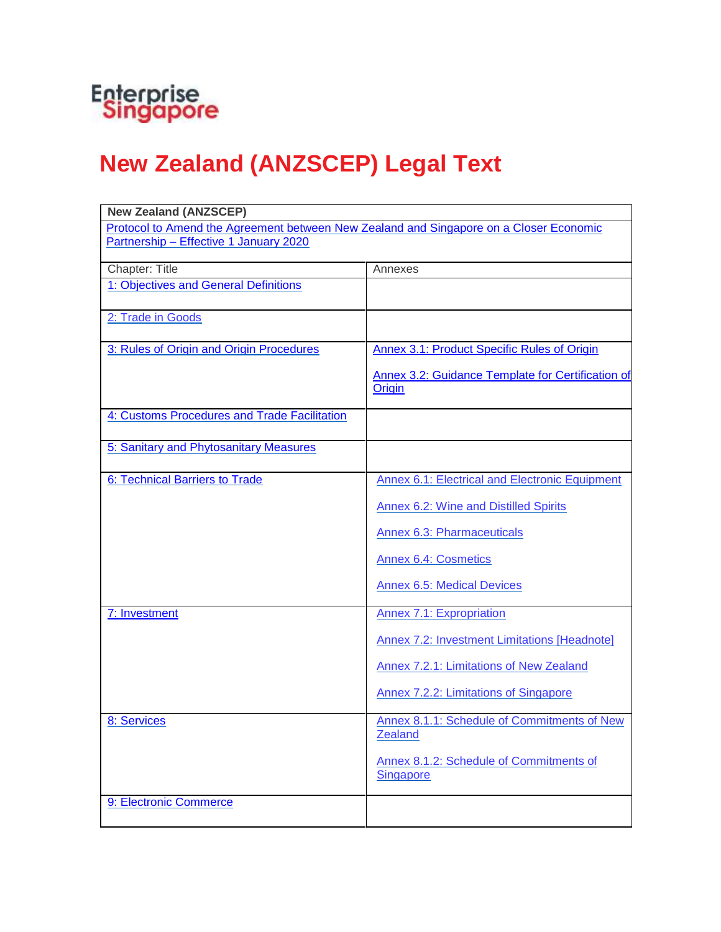

## **New Zealand (ANZSCEP) Legal Text**

| <b>New Zealand (ANZSCEP)</b>                                                           |                                                               |  |
|----------------------------------------------------------------------------------------|---------------------------------------------------------------|--|
| Protocol to Amend the Agreement between New Zealand and Singapore on a Closer Economic |                                                               |  |
| Partnership - Effective 1 January 2020                                                 |                                                               |  |
|                                                                                        |                                                               |  |
| Chapter: Title                                                                         | Annexes                                                       |  |
| 1: Objectives and General Definitions                                                  |                                                               |  |
|                                                                                        |                                                               |  |
| 2: Trade in Goods                                                                      |                                                               |  |
| 3: Rules of Origin and Origin Procedures                                               | Annex 3.1: Product Specific Rules of Origin                   |  |
|                                                                                        |                                                               |  |
|                                                                                        | Annex 3.2: Guidance Template for Certification of             |  |
|                                                                                        | Origin                                                        |  |
|                                                                                        |                                                               |  |
| 4: Customs Procedures and Trade Facilitation                                           |                                                               |  |
|                                                                                        |                                                               |  |
| 5: Sanitary and Phytosanitary Measures                                                 |                                                               |  |
| 6: Technical Barriers to Trade                                                         |                                                               |  |
|                                                                                        | Annex 6.1: Electrical and Electronic Equipment                |  |
|                                                                                        | <b>Annex 6.2: Wine and Distilled Spirits</b>                  |  |
|                                                                                        | <b>Annex 6.3: Pharmaceuticals</b>                             |  |
|                                                                                        |                                                               |  |
|                                                                                        | <b>Annex 6.4: Cosmetics</b>                                   |  |
|                                                                                        | <b>Annex 6.5: Medical Devices</b>                             |  |
|                                                                                        |                                                               |  |
| 7: Investment                                                                          | <b>Annex 7.1: Expropriation</b>                               |  |
|                                                                                        | Annex 7.2: Investment Limitations [Headnote]                  |  |
|                                                                                        | Annex 7.2.1: Limitations of New Zealand                       |  |
|                                                                                        | Annex 7.2.2: Limitations of Singapore                         |  |
|                                                                                        |                                                               |  |
| 8: Services                                                                            | Annex 8.1.1: Schedule of Commitments of New<br><u>Zealand</u> |  |
|                                                                                        | Annex 8.1.2: Schedule of Commitments of<br><b>Singapore</b>   |  |
|                                                                                        |                                                               |  |
| 9: Electronic Commerce                                                                 |                                                               |  |